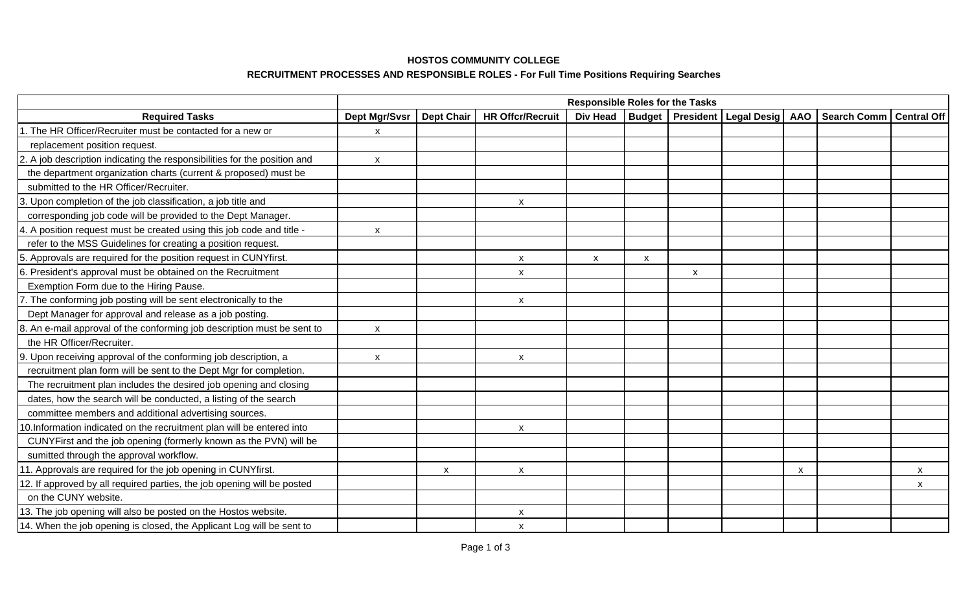### **HOSTOS COMMUNITY COLLEGE**

# **RECRUITMENT PROCESSES AND RESPONSIBLE ROLES - For Full Time Positions Requiring Searches**

|                                                                           | <b>Responsible Roles for the Tasks</b> |                   |                           |                 |               |                  |                          |   |                    |                    |
|---------------------------------------------------------------------------|----------------------------------------|-------------------|---------------------------|-----------------|---------------|------------------|--------------------------|---|--------------------|--------------------|
| <b>Required Tasks</b>                                                     | <b>Dept Mgr/Svsr</b>                   | <b>Dept Chair</b> | <b>HR Offcr/Recruit</b>   | <b>Div Head</b> | <b>Budget</b> | <b>President</b> | <b>Legal Desig   AAO</b> |   | <b>Search Comm</b> | <b>Central Off</b> |
| 1. The HR Officer/Recruiter must be contacted for a new or                | $\pmb{\mathsf{X}}$                     |                   |                           |                 |               |                  |                          |   |                    |                    |
| replacement position request.                                             |                                        |                   |                           |                 |               |                  |                          |   |                    |                    |
| 2. A job description indicating the responsibilities for the position and | $\mathsf{x}$                           |                   |                           |                 |               |                  |                          |   |                    |                    |
| the department organization charts (current & proposed) must be           |                                        |                   |                           |                 |               |                  |                          |   |                    |                    |
| submitted to the HR Officer/Recruiter.                                    |                                        |                   |                           |                 |               |                  |                          |   |                    |                    |
| 3. Upon completion of the job classification, a job title and             |                                        |                   | $\boldsymbol{\mathsf{x}}$ |                 |               |                  |                          |   |                    |                    |
| corresponding job code will be provided to the Dept Manager.              |                                        |                   |                           |                 |               |                  |                          |   |                    |                    |
| 4. A position request must be created using this job code and title -     | $\mathsf{x}$                           |                   |                           |                 |               |                  |                          |   |                    |                    |
| refer to the MSS Guidelines for creating a position request.              |                                        |                   |                           |                 |               |                  |                          |   |                    |                    |
| 5. Approvals are required for the position request in CUNYfirst.          |                                        |                   | X                         | X               | X             |                  |                          |   |                    |                    |
| 6. President's approval must be obtained on the Recruitment               |                                        |                   | $\mathsf{x}$              |                 |               | $\mathsf{x}$     |                          |   |                    |                    |
| Exemption Form due to the Hiring Pause.                                   |                                        |                   |                           |                 |               |                  |                          |   |                    |                    |
| 7. The conforming job posting will be sent electronically to the          |                                        |                   | $\mathsf{x}$              |                 |               |                  |                          |   |                    |                    |
| Dept Manager for approval and release as a job posting.                   |                                        |                   |                           |                 |               |                  |                          |   |                    |                    |
| 8. An e-mail approval of the conforming job description must be sent to   | X                                      |                   |                           |                 |               |                  |                          |   |                    |                    |
| the HR Officer/Recruiter.                                                 |                                        |                   |                           |                 |               |                  |                          |   |                    |                    |
| 9. Upon receiving approval of the conforming job description, a           | $\mathsf{x}$                           |                   | $\pmb{\mathsf{X}}$        |                 |               |                  |                          |   |                    |                    |
| recruitment plan form will be sent to the Dept Mgr for completion.        |                                        |                   |                           |                 |               |                  |                          |   |                    |                    |
| The recruitment plan includes the desired job opening and closing         |                                        |                   |                           |                 |               |                  |                          |   |                    |                    |
| dates, how the search will be conducted, a listing of the search          |                                        |                   |                           |                 |               |                  |                          |   |                    |                    |
| committee members and additional advertising sources.                     |                                        |                   |                           |                 |               |                  |                          |   |                    |                    |
| 0.Information indicated on the recruitment plan will be entered into      |                                        |                   | $\pmb{\mathsf{x}}$        |                 |               |                  |                          |   |                    |                    |
| CUNYFirst and the job opening (formerly known as the PVN) will be         |                                        |                   |                           |                 |               |                  |                          |   |                    |                    |
| sumitted through the approval workflow.                                   |                                        |                   |                           |                 |               |                  |                          |   |                    |                    |
| 11. Approvals are required for the job opening in CUNYfirst.              |                                        | X                 | X                         |                 |               |                  |                          | X |                    | X                  |
| 12. If approved by all required parties, the job opening will be posted   |                                        |                   |                           |                 |               |                  |                          |   |                    | X                  |
| on the CUNY website.                                                      |                                        |                   |                           |                 |               |                  |                          |   |                    |                    |
| 13. The job opening will also be posted on the Hostos website.            |                                        |                   | X                         |                 |               |                  |                          |   |                    |                    |
| 14. When the job opening is closed, the Applicant Log will be sent to     |                                        |                   | $\mathsf{x}$              |                 |               |                  |                          |   |                    |                    |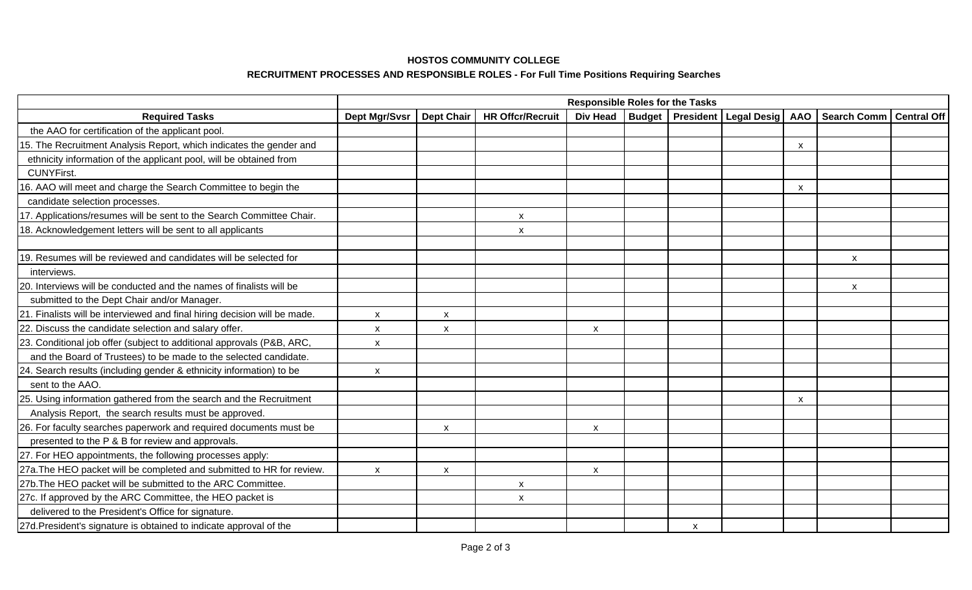### **HOSTOS COMMUNITY COLLEGE**

# **RECRUITMENT PROCESSES AND RESPONSIBLE ROLES - For Full Time Positions Requiring Searches**

|                                                                                                                                    | <b>Responsible Roles for the Tasks</b> |                   |                         |                    |  |              |                                        |                           |                    |                    |
|------------------------------------------------------------------------------------------------------------------------------------|----------------------------------------|-------------------|-------------------------|--------------------|--|--------------|----------------------------------------|---------------------------|--------------------|--------------------|
| <b>Required Tasks</b>                                                                                                              | Dept Mgr/Svsr                          | <b>Dept Chair</b> | <b>HR Offcr/Recruit</b> | <b>Div Head</b>    |  |              | Budget   President   Legal Desig   AAO |                           | <b>Search Comm</b> | <b>Central Off</b> |
| the AAO for certification of the applicant pool.                                                                                   |                                        |                   |                         |                    |  |              |                                        |                           |                    |                    |
| 15. The Recruitment Analysis Report, which indicates the gender and                                                                |                                        |                   |                         |                    |  |              |                                        | $\boldsymbol{\mathsf{x}}$ |                    |                    |
| ethnicity information of the applicant pool, will be obtained from                                                                 |                                        |                   |                         |                    |  |              |                                        |                           |                    |                    |
| <b>CUNYFirst.</b>                                                                                                                  |                                        |                   |                         |                    |  |              |                                        |                           |                    |                    |
| 16. AAO will meet and charge the Search Committee to begin the                                                                     |                                        |                   |                         |                    |  |              |                                        | $\mathsf{x}$              |                    |                    |
| candidate selection processes.                                                                                                     |                                        |                   |                         |                    |  |              |                                        |                           |                    |                    |
| 17. Applications/resumes will be sent to the Search Committee Chair.                                                               |                                        |                   | X                       |                    |  |              |                                        |                           |                    |                    |
| 18. Acknowledgement letters will be sent to all applicants                                                                         |                                        |                   | $\pmb{\mathsf{X}}$      |                    |  |              |                                        |                           |                    |                    |
| 19. Resumes will be reviewed and candidates will be selected for                                                                   |                                        |                   |                         |                    |  |              |                                        |                           |                    |                    |
| interviews.                                                                                                                        |                                        |                   |                         |                    |  |              |                                        |                           | X                  |                    |
| 20. Interviews will be conducted and the names of finalists will be                                                                |                                        |                   |                         |                    |  |              |                                        |                           |                    |                    |
|                                                                                                                                    |                                        |                   |                         |                    |  |              |                                        |                           | X                  |                    |
| submitted to the Dept Chair and/or Manager.                                                                                        |                                        |                   |                         |                    |  |              |                                        |                           |                    |                    |
| 21. Finalists will be interviewed and final hiring decision will be made.<br>22. Discuss the candidate selection and salary offer. | $\pmb{\mathsf{X}}$                     | X                 |                         |                    |  |              |                                        |                           |                    |                    |
|                                                                                                                                    | X                                      | X                 |                         | X                  |  |              |                                        |                           |                    |                    |
| 23. Conditional job offer (subject to additional approvals (P&B, ARC,                                                              | $\boldsymbol{\mathsf{x}}$              |                   |                         |                    |  |              |                                        |                           |                    |                    |
| and the Board of Trustees) to be made to the selected candidate.                                                                   |                                        |                   |                         |                    |  |              |                                        |                           |                    |                    |
| 24. Search results (including gender & ethnicity information) to be                                                                | $\boldsymbol{\mathsf{x}}$              |                   |                         |                    |  |              |                                        |                           |                    |                    |
| sent to the AAO.                                                                                                                   |                                        |                   |                         |                    |  |              |                                        |                           |                    |                    |
| 25. Using information gathered from the search and the Recruitment                                                                 |                                        |                   |                         |                    |  |              |                                        | $\boldsymbol{\mathsf{x}}$ |                    |                    |
| Analysis Report, the search results must be approved.                                                                              |                                        |                   |                         |                    |  |              |                                        |                           |                    |                    |
| 26. For faculty searches paperwork and required documents must be                                                                  |                                        | X                 |                         | $\mathsf{x}$       |  |              |                                        |                           |                    |                    |
| presented to the P & B for review and approvals.                                                                                   |                                        |                   |                         |                    |  |              |                                        |                           |                    |                    |
| 27. For HEO appointments, the following processes apply:                                                                           |                                        |                   |                         |                    |  |              |                                        |                           |                    |                    |
| 27a. The HEO packet will be completed and submitted to HR for review.                                                              | $\pmb{\mathsf{X}}$                     | X                 |                         | $\pmb{\mathsf{X}}$ |  |              |                                        |                           |                    |                    |
| 27b. The HEO packet will be submitted to the ARC Committee.                                                                        |                                        |                   | X                       |                    |  |              |                                        |                           |                    |                    |
| 27c. If approved by the ARC Committee, the HEO packet is                                                                           |                                        |                   | X                       |                    |  |              |                                        |                           |                    |                    |
| delivered to the President's Office for signature.                                                                                 |                                        |                   |                         |                    |  |              |                                        |                           |                    |                    |
| 27d. President's signature is obtained to indicate approval of the                                                                 |                                        |                   |                         |                    |  | $\mathsf{x}$ |                                        |                           |                    |                    |